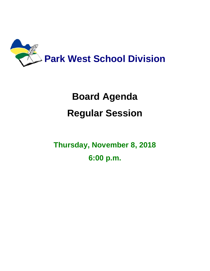

# **Board Agenda Regular Session**

**Thursday, November 8, 2018 6:00 p.m.**